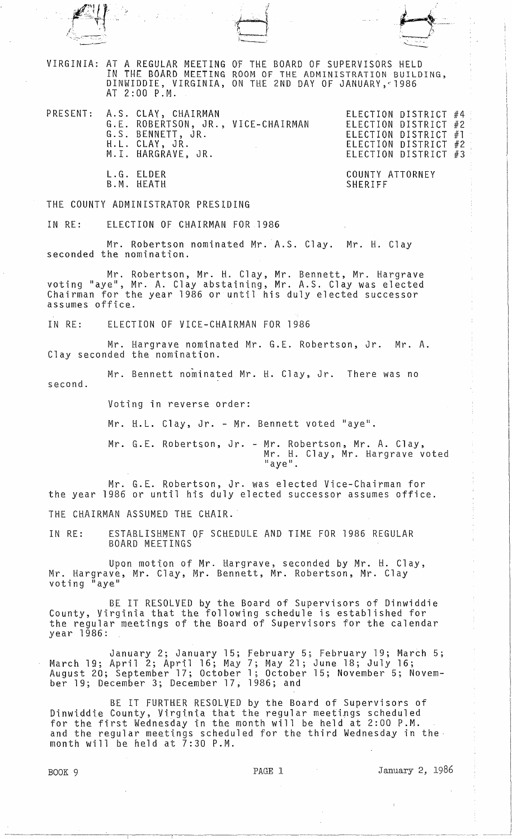



VIRGINIA: AT A REGULAR MEETING OF THE BOARD OF SUPERVISORS HELD IN THE BOARD MEETING ROOM OF THE ADMINISTRATION BUILDING, DINWIDDIE, VIRGINIA, ON THE 2ND DAY OF JANUARY,~1986 AT 2:00 P.M.

PRESENT: A.S. CLAY, CHAIRMAN ELECTION DISTRICT #4 G.E. ROBERTSON, JR., VICE-CHAIRMAN G.S. BENNETT, JR. H.L. CLAY, JR. M.I. HARGRAVE, JR.

> L.G. ELDER B.M. HEATH

','

ELECTION DISTRICT #2 ELECTION DISTRICT #1 ELECTION DISTRICT #2 ELECTION DISTRICT #3

 $\overrightarrow{ }$ 

1 \_ J;..r~- -',.. .......

COUNTY ATTORNEY SHERIFF

THE COUNTY ADMINISTRATOR PRESIDING

IN RE: ELECTION OF CHAIRMAN FOR 1986

Mr. Robertson nominated Mr. A.S. Clay. Mr. H. Clay seconded the nomination.

Mr. Robertson, Mr. H. Clay, Mr. Bennett, Mr. Hargrave voting "aye", Mr. A. Clay abstaining, Mr. A.S. Clay was elected Chairman for the year 1986 or until his duly elected successor assumes office.

IN RE: ELECTION OF VICE-CHAIRMAN FOR 1986

Mr. Hargrave nominated Mr. G.E. Robertson, Jr. Mr. A. Clay seconded the nomination.

second. Mr. Bennett nominated Mr. H. Clay, Jr. There was no

Voting in reverse order:

Mr. H.L. Clay, Jr. - Mr. Bennett voted "aye".

Mr. G.L Robertson, Jr. - Mr. Robertson, Mr. A. Clay, Mr. H. Clay, Mr. Hargrave voted "aye" .

Mr. G.L Robertson, Jr. was elected Vice-Chairman for the year 1986 or until his duly elected successor assumes office.

THE CHAIRMAN ASSUMED THE CHAIR.

IN RE: ESTABLISHMENT OF SCHEDULE AND TIME FOR 1986 REGULAR BOARD MEETINGS

Upon motion of Mr. Hargrave, seconded by Mr. H. Clay, Mr. Hargrave, Mr. Clay, Mr. Bennett, Mr. Robertson, Mr. Clay voting "aye"

BE IT RESOLVED by the Board of Supervisors of Dinwiddie County, Virginia that the following schedule is established for the regular meetings of the Board of Supervisors for the calendar year 1986:

January 2; January 15; February 5; February 19; March 5; March 19; April 2; April 16; May 7; May 21; June 18; July 16; August 20; September 17; October 1; October 15; November 5; November 19; December 3; December 17, 1986; and

BE IT FURTHER RESOLVED by the Board of Supervisors of Dinwiddie County, Virginia that the regular meetings scheduled for the first Wednesday in the month will be held at 2:00 P.M. and the regular meetings scheduled for the third Wednesday in the month will be held at  $7:30$  P.M.

BOOK 9 **PAGE 1** PAGE 1 January 2, 1986

--\_.-.\_,-\_.\_.\_ ... \_,. -.-- --.--~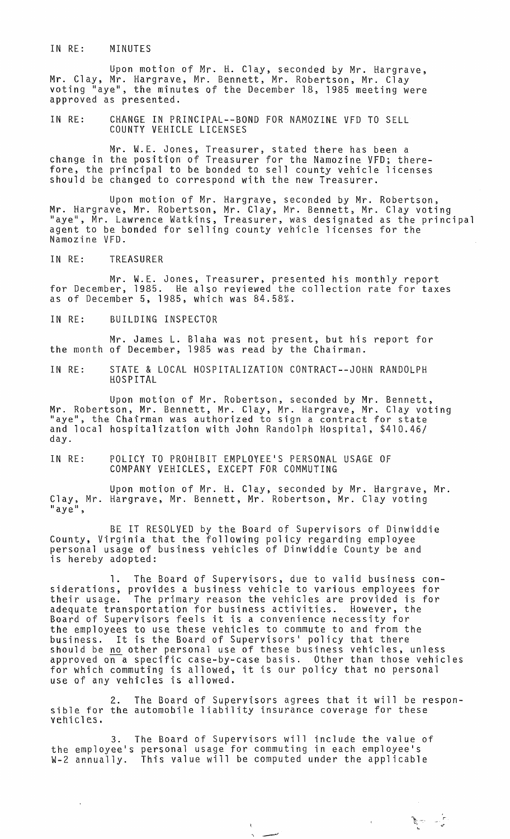IN RE: MINUTES

Upon motion of Mr. H. Clay, seconded by Mr. Hargrave, Mr. Clay, Mr. Hargrave, Mr. Bennett, Mr. Robertson, Mr. Clay voting "aye", the minutes of the December 18, 1985 meeting were approved as presented.

IN RE: CHANGE IN PRINCIPAL--BOND FOR NAMOZINE VFD TO SELL COUNTY VEHICLE LICENSES

Mr. W.E. Jones, Treasurer, stated there has been a change in the position of Treasurer for the Namozine VFO; therefore, the principal to be bonded to sell county vehicle licenses should be changed to correspond with the new Treasurer.

Upon motion of Mr. Hargrave, seconded by Mr. Robertson, Mr. Hargrave, Mr. Robertson, Mr. Clay, Mr. Bennett, Mr. Clay voting "aye", Mr. Lawrence Watkins, Treasurer, was designated as the principal agent to be bonded for selling county vehicle licenses for the Namozine VFD.

IN RE: TREASURER

Mr. W.E. Jones, Treasurer, presented his monthly report<br>for December, 1985. He also reviewed the collection rate for taxes as of December 5, 1985, which was 84.58%.

IN RE: BUILDING INSPECTOR

Mr. James L. Blaha was not present, but his report for the month of December, 1985 was read by the Chairman.

IN RE: STATE & LOCAL HOSPITALIZATION CONTRACT--JOHN RANDOLPH HOSPITAL

Upon motion of Mr. Robertson, seconded by Mr. Bennett, Mr. Robertson, Mr. Bennett, Mr. Clay, Mr. Hargrave, Mr. Clay voting<br>"aye", the Chairman was authorized to sign a contract for state and local hospitalization with John Randolph Hospital, \$410.46/ day.

IN RE: POLICY TO PROHIBIT EMPLOYEE'S PERSONAL USAGE OF COMPANY VEHICLES, EXCEPT FOR COMMUTING

Upon motion of Mr. H. Clay, seconded by Mr. Hargrave, Mr. Clay, Mr. Hargrave, Mr. Bennett, Mr. Robertson, Mr. Clay voting<br>"aye",

BE IT RESOLVED by the Board of Supervisors of Dinwiddie County, Virginia that the following policy regarding employee personal usage of business vehicles of Dinwiddie County be and is hereby adopted:

1. The Board of Supervisors, due to valid business considerations, provides a business vehicle to various employees for their usage. The primary reason the vehicles are provided is for adequate transportation for business activities. However, the Board of Supervisors feels it is a convenience necessity for the employees to use these vehicles to commute to and from the business. It is the Board of Supervisors' policy that there should be <u>no</u> other personal use of these business vehicles, unless approved on a specific case-by-case basis. Other than those vehicles for which commuting is allowed, it is our policy that no personal use of any vehicles is allowed.

2. The Board of Supervisors agrees that it will be respon- sible for the automobile liability insurance coverage for these vehicles.

:<br>پاس سیلی<br>م

, and the contract of  $\mathcal{L}$  respectively.

3. The Board of Supervisors will include the value of the employee's personal usage for commuting in each employee's W-2 annually. This value will be computed under the applicable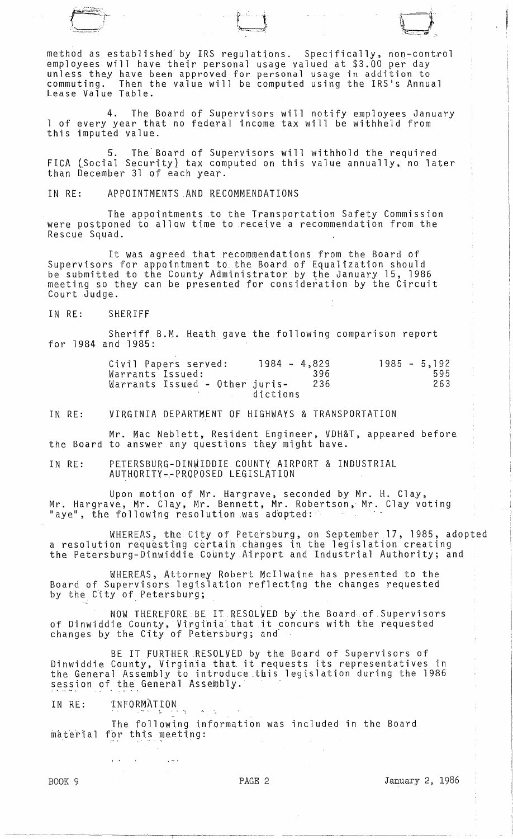method as established by IRS regulations. Specifically, non-control<br>employees will have their personal usage valued at \$3.00 per day employees will have their personal usage valued at \$3.00 per day<br>unless they have been approved for personal usage in addition to commuting. Then the value will be computed using the IRS's Annual Lease Value Table.

*·:v-:-* . l t;~~. =::1;~

4. The Board of Supervisors will notify employees January <sup>1</sup>of every year that no federal income tax will be withheld from this imputed value.

5. The Board of Supervisors will withhold the required FICA lSocial Security} tax computed on this value annually, no later than December 31 of each year.

IN RE: APPOINTMENTS AND RECOMMENDATIONS

The appointments to the Transportation Safety Commission were postponed to allow time to receive a recommendation from the Rescue Squad.

It was agreed that recommendations from the Board of Supervisors for appointment to the Board of Equalization should be submitted to the County Administrator by the January 15, 1986 meeting so they can be presented for consideration by the Circuit Court Judge.

IN RE: SHERIFF

Sheriff B.M. Heath gave the following comparison report for 1984 and 1985:

| Civil Papers served:           | $1984 - 4.829$  | $1985 - 5,192$ |
|--------------------------------|-----------------|----------------|
| Warrants Issued:               | 396             | 595            |
| Warrants Issued - Other juris- | 236<br>dictions | 263            |

IN RE: VIRGINIA DEPARTMENT Of HIGHWAYS & TRANSPORTATION

Mr. Mac Neblett, Resident Engineer, VDH&T, appeared before the Board to answer any questions they might have.

IN RE: PETERSBURG-DINWIDDIE COUNTY AIRPORT & INDUSTRIAL AUTHORITY-~PROPOSED LEGISLATION

Upon motion of Mr. Hargrave, seconded by Mr. H. Clay, Mr. Hargrave, Mr. Clay, Mr. Bennett, Mr. Robertson, Mr. Clay voting "aye", the following resolution was adopted:

WHEREAS, the City of Petersburg, on September 17, 1985, adopted a resolution requesting certain changes in the legislation creating the Petersburg-Dinwiddie County Airport and Industrial Authority; and

WHEREAS, Attorney Robert McIlwaine has presented to the Board of Supervisors legislation reflecting the changes requested by the City of Petersburg;

NOW THEREFORE BE IT RESOLVED by the Board of Supervisors of Dinwiddie County, Virglnia'that it concurs with the requested changes by the City of Petersburg; and

BE IT FURTHER RESOL<mark>VED by the Board of Supervisors of</mark> Dinwiddie County, Virginia that it requests its representatives in the General Assembly to introduce .this legislation during the 1986 session of the General Assembly.

IN RE: INFORMATION

 $\sqrt{2}$ 

The following information was included in the Board material for this meeting:

BOOK 9 **PAGE 2** PAGE 2 January 2, 1986